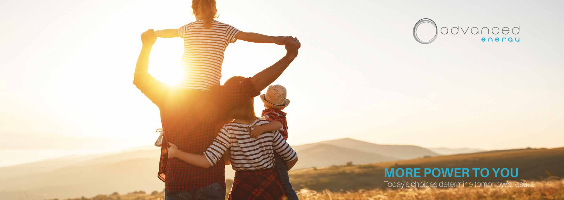



### **MORE POWER TO YOU** Today's choices determine tomorrow's results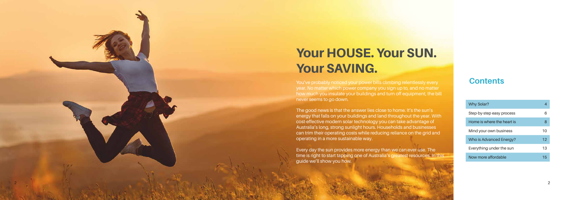## Your HOUSE. Your SUN. Your SAVING.

You've probably noticed your power bills climbing relentlessly every year. No matter which power company you sign up to, and no matter how much you insulate your buildings and turn off equipment, the bill never seems to go down.

The good news is that the answer lies close to home. It's the sun's energy that falls on your buildings and land throughout the year. With cost-effective modern solar technology you can take advantage of Australia's long, strong sunlight hours. Households and businesses can trim their operating costs while reducing reliance on the grid and operating in a more sustainable way.

| Why Solar?                 |    |
|----------------------------|----|
| Step-by-step easy process  | 6  |
| Home is where the heart is | 8  |
| Mind your own business     | 10 |
| Who is Advanced Energy?    | 12 |
| Everything under the sun   | 13 |
| Now more affordable        | 15 |

Every day the sun provides more energy than we can ever use. The time is right to start tapping one of Australia's greatest resources. In this guide we'll show you how.

### **Contents**

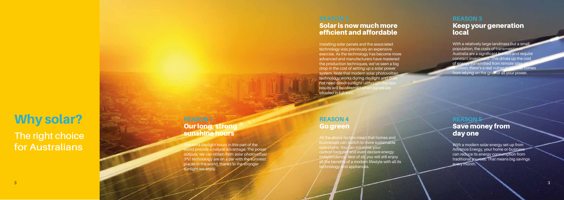### Why solar?

**The right choice for Australians**

#### **REASON 1**  Our long, strong sunshine hours

The extra daylight hours in this part of the world provide a natural advantage. The power outputs we can obtain from solar photovoltaic (PV) technology are on a par with the sunniest places in the world, thanks to the stronger sunlight we enjoy.

#### **REASON 3**  Keep your generation local

With a relatively large landmass but a small population, the costs of transmission Australia are a significant burden and require constant investment. This drives up the cost of energy transmitted from remote site **addition, there's a real vulnerability that comes** from relying on the grid for all your power.

Installing solar panels and the associated technology was previously an expensive exercise. As the technology has become more advanced and manufacturers have mastered the production techniques, we've seen a big drop in the cost of setting up a solar power system. Note that modern solar photovoltaic technology works during daylight and doe not need direct sunlight (although the best results will be obtained when panels are situated in full sun)

#### **REASON 5 Save money from** day one

With a modern solar energy set-up from Advance Energy, your home or business can reduce its energy consumption from traditional sources. That means big savings every month.

#### **REASON 4**  Go green

All the above factors mean that homes and businesses can switch to more sustainable operations. You can minimise your carbon footprint and even declare energy independence. Best of all, you will still enjoy all the benefits of a modern lifestyle with all its technology and appliances.

### Solar is now much more efficient and affordable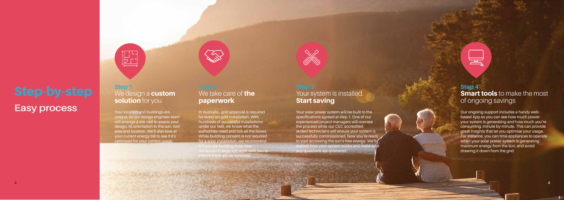#### **Step 1**  We design a **custom** solution for you

 $\begin{bmatrix} 1 & 1 \\ 1 & 1 \\ 2 & 1 \end{bmatrix}$ 

## **Easy process**

Your location and buildings are unique, so our design engineer team will arrange a site visit to assess your design, its orientation to the sun, roof area and location. We'll also look at your current energy bill to see if it's optimised for your current usage.

### Your system is installed. Start saving

### We take care of **the** paperwork

**Consolidation of the Consolidation Consolidation Consolidation** 

Your solar power system will be built to the specifications agreed at step 1. One of our experienced project managers will oversee the process while our CEC accredited skilled technicians will ensure your system is successfully commissioned. Now you're ready to start accessing the sun's free energy. We'll explain how your system works and make sure any questions are answered.



In Australia , grid approval is required for every on-grid installation. With hundreds of successful installations under our belt, we know what the authorities need and tick all the boxes. While building consent is not required for a solar installation, we recommend it if you are building from new. Advanced Energy will work with you to ensure there are no surprises.

#### **Step 4 Smart tools** to make the most of ongoing savings

Our ongoing support includes a handy webbased App so you can see how much power your system is generating and how much you're consuming, minute by-minute. This can provide great insights that let you optimise your usage. For instance, you can time appliances to operate when your solar power system is generating maximum energy from the sun, and avoid drawing it down from the grid.

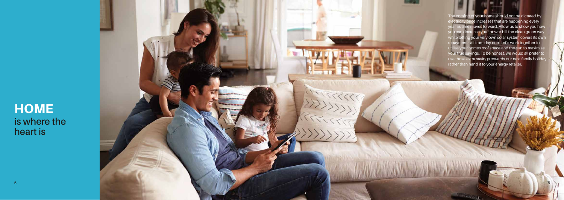### **HOME is where the heart is**



The comfort of your home should not be dictated by lectricity price increases that are happening every year as time moves forward. Allow us to show you how you can decrease your power bill the clean green way tting your very own solar system covers its own payments all from day one. Let's work together to utilise your homes roof space and the sun to maximise your true savings. To be honest, we would all prefer to use those extra savings towards our next family holiday rather than hand it to your energy retailer.

 $-44.144$ 

5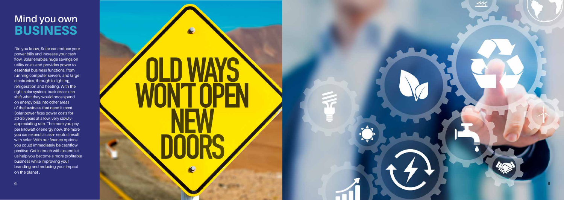### **Mind you own** BUSINESS

Did you know, Solar can reduce your power bills and increase your cash flow. Solar enables huge savings on utility costs and provides power to essential business functions, from running computer servers, and large electronics, through to lighting, refrigeration and heating. With the right solar system, businesses can shift what they would once spend on energy bills into other areas of the business that need it most. Solar power fixes power costs for 20-25 years at a low, very slowlyappreciating rate. The more you pay per kilowatt of energy now, the more you can expect a cash- neutral result with solar . With our finance options you could immediately be cashflow positive. Get in touch with us and let us help you become a more profitable business while improving your branding and reducing your impact on the planet .



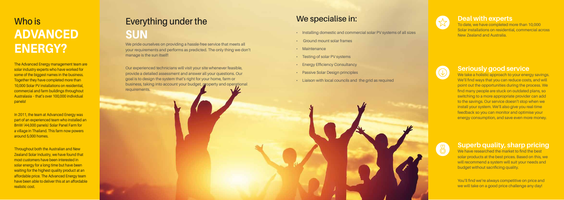### **Everything under the SUN**

# **Who is** ADVANCED

We pride ourselves on providing a hassle-free service that meets all<br>your requirements and performs as predicted. The only thing we do<br>manage is the sun itself! your requirements and performs as predicted. The only thing we don't manage is the sun itself!

> Our experienced technicians will visit your site whenever feasible, provide a detailed assessment and answer all your questions. Our goal is to design the system that's right for your home, farm or business, taking into account your budget, property and operational requirements.

#### **Deal with experts**

We take a holistic approach to your energy savings. We'll find ways that you can reduce costs, and will point out the opportunities during the process. We find many people are stuck on outdated plans, so switching to a more appropriate provider can add to the savings. Our service doesn't stop when we install your system. We'll also give you real-time feedback so you can monitor and optimise your energy consumption, and save even more money.



To date, we have completed more than 10,000 Solar installations on residential, commercial across New Zealand and Australia.



#### **Seriously good service**

We have researched the market to find the best solar products at the best prices. Based on this, we will recommend a system will suit your needs and budget without sacrificing quality.

You'll find we're always competitive on price and we will take on a good price challenge any day!

The Advanced Energy management team are solar industry experts who have worked for some of the biggest names in the business. Together they have completed more than 10,000 Solar PV installations on residential. commercial and farm buildings throughout Australasia – that's over 100,000 individual panels!

In 2011, the team at Advanced Energy was part of an experienced team who installed an 8mW (44,000 panels) Solar Panel Farm for a village in Thailand. This farm now powers around 5,000 homes.

#### **Superb quality, sharp pricing**

realistic cost. Throughout both the Australian and New **Zealand Solar Industry, we have found that** most customers have been interested in solar energy for a long time but have been waiting for the highest quality product at an affordable price. The Advanced Energy team have been able to deliver this at an affordable

### **We specialise in:**

• Installing domestic and commercial solar PV systems of all sizes

- 
- 
- 
- Ground mount solar frames Maintenance Testing of solar PV systems Energy Efficiency Consultancy Passive Solar Design principles
	-
- Liaison with local councils and the grid as required



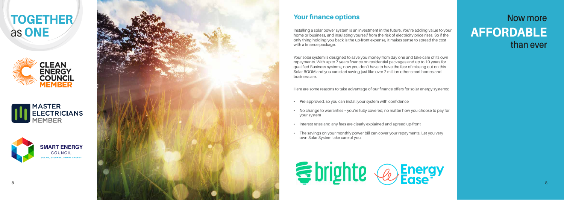### **Now more** AFFORDABLE **than ever**

TOGETHER as ONE











### Your finance options

Installing a solar power system is an investment in the future. You're adding value to your home or business, and insulating yourself from the risk of electricity price rises. So if the only thing holding you back is the up-front expense, it makes sense to spread the cost with a finance package.

Your solar system is designed to save you money from day one and take care of its own repayments. With up to 7 years finance on residential packages and up to 10 years for qualified Business systems, now you don't have to have the fear of missing out on this Solar BOOM and you can start saving just like over 2 million other smart homes and business are.

Here are some reasons to take advantage of our finance offers for solar energy systems:

- 
- 
- 
- 



• Pre-approved, so you can install your system with confidence

• No change to warranties – you're fully covered, no matter how you choose to pay for your system

• Interest rates and any fees are clearly explained and agreed up-front

• The savings on your monthly power bill can cover your repayments. Let you very own Solar System take care of you.